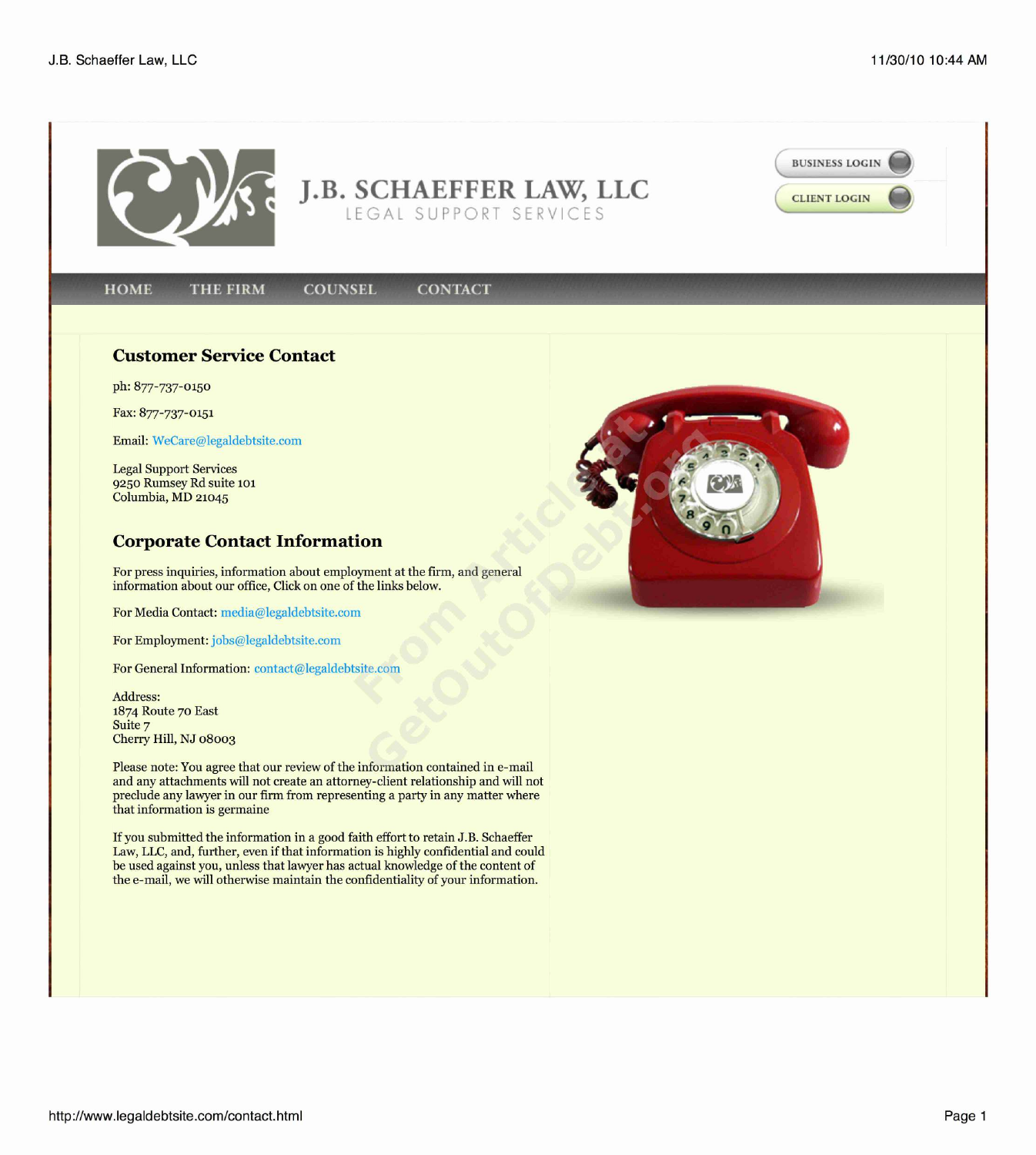

**J.B. SCHAEFFER LAW, LLC CLIENT LOGIN** LEGAL SUPPORT SERVICES

**CONTACT** 

## **HOME THE FIRM COUNSEL**

**BUSINESS LOGIN**

http://www.legaldebtsite.com/contact.html Page 1



## **Customer Service Contact**

ph: 877-737-0150

Fax: 877-737-0151

Email: WeCare@legaldebtsite.com

Legal Support Services 9250 Rumsey Rd suite **101** Columbia, MD **21045**

## **Corporate Contact Information**

For press inquiries, information about employment at the firm, and general information about our office, Click on one of the links below.

For Media Contact: media@legaldebtsite.com

For Employment: jobs@legaldebtsite.com

For General Information: contact@legaldebtsite.com

Address: 1874 Route 70 East Suite 7 Cherry Hill, **NJ 08003**

Please note: You agree that our review of the information contained in e-mail and any attachments will not create an attorney-client relationship and will not preclude any lawyer in our firm from representing a party in any matter where that information is germaine

If you submitted the information in a good faith effort to retain J.B. Schaeffer Law, LLC, and, further, even if that information is highly confidential and could be used against you, unless that lawyer has actual knowledge of the content of the e-mail, we will otherwise maintain the confidentiality of your information.